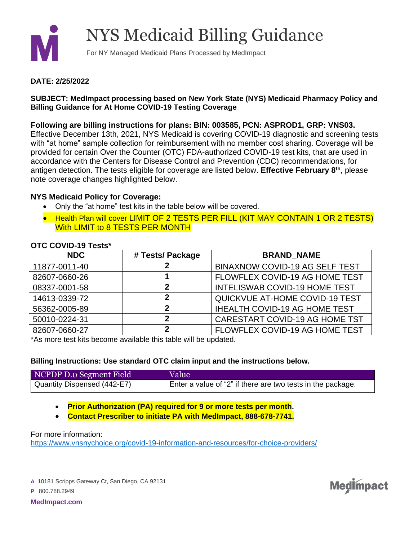

## NYS Medicaid Billing Guidance

For NY Managed Medicaid Plans Processed by MedImpact

#### **DATE: 2/25/2022**

## **SUBJECT: MedImpact processing based on New York State (NYS) Medicaid Pharmacy Policy and Billing Guidance for At Home COVID-19 Testing Coverage**

## **Following are billing instructions for plans: BIN: 003585, PCN: ASPROD1, GRP: VNS03.**

Effective December 13th, 2021, NYS Medicaid is covering COVID-19 diagnostic and screening tests with "at home" sample collection for reimbursement with no member cost sharing. Coverage will be provided for certain Over the Counter (OTC) FDA-authorized COVID-19 test kits, that are used in accordance with the Centers for Disease Control and Prevention (CDC) recommendations, for antigen detection. The tests eligible for coverage are listed below. **Effective February 8th**, please note coverage changes highlighted below.

#### **NYS Medicaid Policy for Coverage:**

- Only the "at home" test kits in the table below will be covered.
- Health Plan will cover LIMIT OF 2 TESTS PER FILL (KIT MAY CONTAIN 1 OR 2 TESTS) With LIMIT to 8 TESTS PER MONTH

## **OTC COVID-19 Tests\***

| <b>NDC</b>    | # Tests/ Package | <b>BRAND NAME</b>                     |
|---------------|------------------|---------------------------------------|
| 11877-0011-40 |                  | <b>BINAXNOW COVID-19 AG SELF TEST</b> |
| 82607-0660-26 |                  | FLOWFLEX COVID-19 AG HOME TEST        |
| 08337-0001-58 | 2                | <b>INTELISWAB COVID-19 HOME TEST</b>  |
| 14613-0339-72 | 2                | QUICKVUE AT-HOME COVID-19 TEST        |
| 56362-0005-89 | 2                | <b>IHEALTH COVID-19 AG HOME TEST</b>  |
| 50010-0224-31 | 2                | CARESTART COVID-19 AG HOME TST        |
| 82607-0660-27 | 2                | FLOWFLEX COVID-19 AG HOME TEST        |

\*As more test kits become available this table will be updated.

#### **Billing Instructions: Use standard OTC claim input and the instructions below.**

| NCPDP D.o Segment Field     | Value                                                       |
|-----------------------------|-------------------------------------------------------------|
| Quantity Dispensed (442-E7) | Enter a value of "2" if there are two tests in the package. |

**Medimpact** 

• **Prior Authorization (PA) required for 9 or more tests per month.** 

• **Contact Prescriber to initiate PA with MedImpact, 888-678-7741.**

For more information:

<https://www.vnsnychoice.org/covid-19-information-and-resources/for-choice-providers/>

**A** 10181 Scripps Gateway Ct, San Diego, CA 92131

**P** 800.788.2949